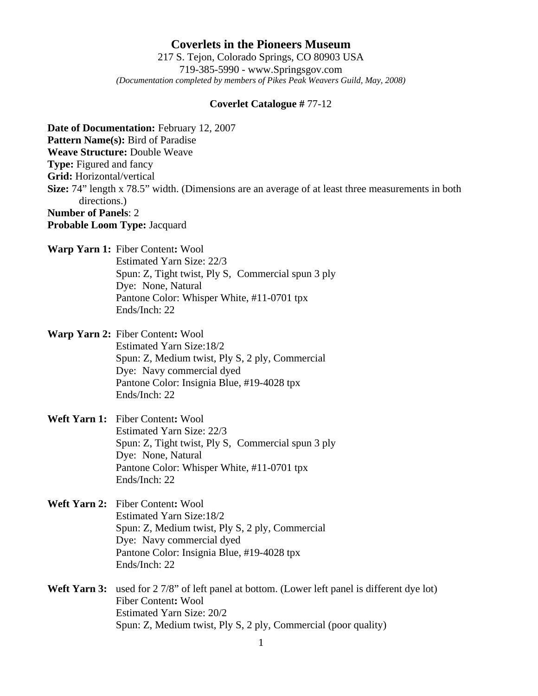## **Coverlets in the Pioneers Museum** 217 S. Tejon, Colorado Springs, CO 80903 USA 719-385-5990 - www.Springsgov.com *(Documentation completed by members of Pikes Peak Weavers Guild, May, 2008)*

## **Coverlet Catalogue #** 77-12

**Date of Documentation:** February 12, 2007 **Pattern Name(s):** Bird of Paradise **Weave Structure:** Double Weave **Type:** Figured and fancy **Grid:** Horizontal/vertical **Size:** 74" length x 78.5" width. (Dimensions are an average of at least three measurements in both directions.) **Number of Panels**: 2 **Probable Loom Type:** Jacquard

- **Warp Yarn 1:** Fiber Content**:** Wool Estimated Yarn Size: 22/3 Spun: Z, Tight twist, Ply S, Commercial spun 3 ply Dye: None, Natural Pantone Color: Whisper White, #11-0701 tpx Ends/Inch: 22
- **Warp Yarn 2:** Fiber Content**:** Wool Estimated Yarn Size: 18/2 Spun: Z, Medium twist, Ply S, 2 ply, Commercial Dye: Navy commercial dyed Pantone Color: Insignia Blue, #19-4028 tpx Ends/Inch: 22
- **Weft Yarn 1:** Fiber Content**:** Wool Estimated Yarn Size: 22/3 Spun: Z, Tight twist, Ply S, Commercial spun 3 ply Dye: None, Natural Pantone Color: Whisper White, #11-0701 tpx Ends/Inch: 22
- **Weft Yarn 2:** Fiber Content**:** Wool Estimated Yarn Size: 18/2 Spun: Z, Medium twist, Ply S, 2 ply, Commercial Dye: Navy commercial dyed Pantone Color: Insignia Blue, #19-4028 tpx Ends/Inch: 22
- Weft Yarn 3: used for 2 7/8" of left panel at bottom. (Lower left panel is different dye lot) Fiber Content**:** Wool Estimated Yarn Size: 20/2 Spun: Z, Medium twist, Ply S, 2 ply, Commercial (poor quality)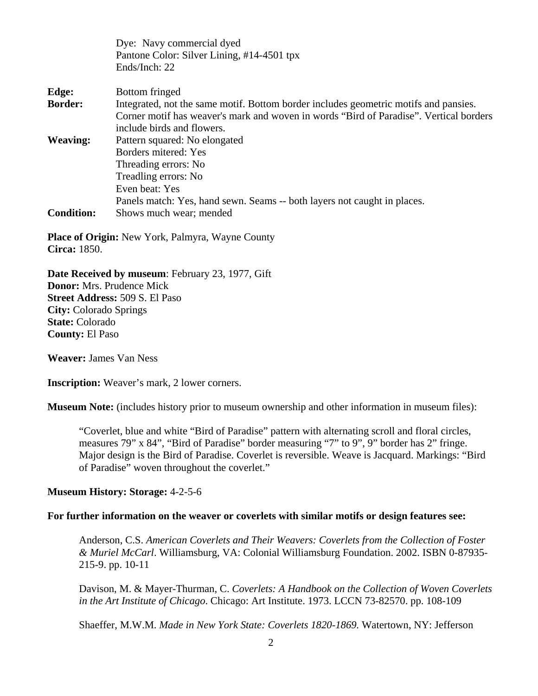|                   | Dye: Navy commercial dyed                                                              |
|-------------------|----------------------------------------------------------------------------------------|
|                   | Pantone Color: Silver Lining, #14-4501 tpx                                             |
|                   | Ends/Inch: 22                                                                          |
| Edge:             | Bottom fringed                                                                         |
| <b>Border:</b>    | Integrated, not the same motif. Bottom border includes geometric motifs and pansies.   |
|                   | Corner motif has weaver's mark and woven in words "Bird of Paradise". Vertical borders |
|                   | include birds and flowers.                                                             |
| <b>Weaving:</b>   | Pattern squared: No elongated                                                          |
|                   | Borders mitered: Yes                                                                   |
|                   | Threading errors: No                                                                   |
|                   | Treadling errors: No                                                                   |
|                   | Even beat: Yes                                                                         |
|                   | Panels match: Yes, hand sewn. Seams -- both layers not caught in places.               |
| <b>Condition:</b> | Shows much wear; mended                                                                |
|                   |                                                                                        |

**Place of Origin:** New York, Palmyra, Wayne County **Circa:** 1850.

**Date Received by museum**: February 23, 1977, Gift **Donor:** Mrs. Prudence Mick **Street Address:** 509 S. El Paso **City:** Colorado Springs **State:** Colorado **County:** El Paso

**Weaver:** James Van Ness

**Inscription:** Weaver's mark, 2 lower corners.

**Museum Note:** (includes history prior to museum ownership and other information in museum files):

"Coverlet, blue and white "Bird of Paradise" pattern with alternating scroll and floral circles, measures 79" x 84", "Bird of Paradise" border measuring "7" to 9", 9" border has 2" fringe. Major design is the Bird of Paradise. Coverlet is reversible. Weave is Jacquard. Markings: "Bird of Paradise" woven throughout the coverlet."

## **Museum History: Storage:** 4-2-5-6

## **For further information on the weaver or coverlets with similar motifs or design features see:**

 Anderson, C.S. *American Coverlets and Their Weavers: Coverlets from the Collection of Foster & Muriel McCarl*. Williamsburg, VA: Colonial Williamsburg Foundation. 2002. ISBN 0-87935- 215-9. pp. 10-11

 Davison, M. & Mayer-Thurman, C. *Coverlets: A Handbook on the Collection of Woven Coverlets in the Art Institute of Chicago*. Chicago: Art Institute. 1973. LCCN 73-82570. pp. 108-109

Shaeffer, M.W.M. *Made in New York State: Coverlets 1820-1869.* Watertown, NY: Jefferson